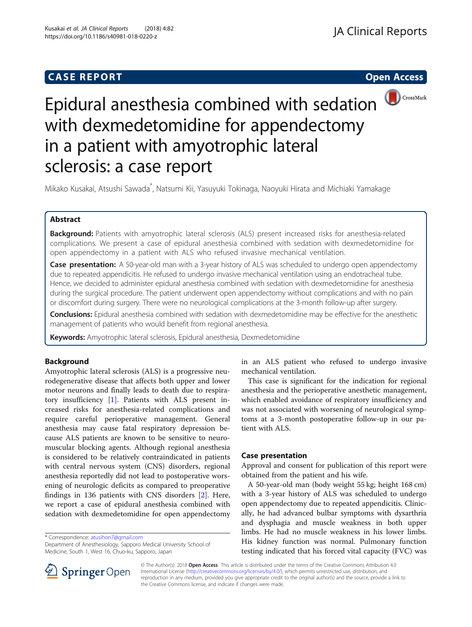# **CASE REPORT CASE REPORT CASE REPORT**



# Epidural anesthesia combined with sedation with dexmedetomidine for appendectomy in a patient with amyotrophic lateral sclerosis: a case report

Mikako Kusakai, Atsushi Sawada<sup>\*</sup>, Natsumi Kii, Yasuyuki Tokinaga, Naoyuki Hirata and Michiaki Yamakage

# Abstract

Background: Patients with amyotrophic lateral sclerosis (ALS) present increased risks for anesthesia-related complications. We present a case of epidural anesthesia combined with sedation with dexmedetomidine for open appendectomy in a patient with ALS who refused invasive mechanical ventilation.

**Case presentation:** A 50-year-old man with a 3-year history of ALS was scheduled to undergo open appendectomy due to repeated appendicitis. He refused to undergo invasive mechanical ventilation using an endotracheal tube. Hence, we decided to administer epidural anesthesia combined with sedation with dexmedetomidine for anesthesia during the surgical procedure. The patient underwent open appendectomy without complications and with no pain or discomfort during surgery. There were no neurological complications at the 3-month follow-up after surgery.

Conclusions: Epidural anesthesia combined with sedation with dexmedetomidine may be effective for the anesthetic management of patients who would benefit from regional anesthesia.

Keywords: Amyotrophic lateral sclerosis, Epidural anesthesia, Dexmedetomidine

# Background

Amyotrophic lateral sclerosis (ALS) is a progressive neurodegenerative disease that affects both upper and lower motor neurons and finally leads to death due to respiratory insufficiency [[1\]](#page-2-0). Patients with ALS present increased risks for anesthesia-related complications and require careful perioperative management. General anesthesia may cause fatal respiratory depression because ALS patients are known to be sensitive to neuromuscular blocking agents. Although regional anesthesia is considered to be relatively contraindicated in patients with central nervous system (CNS) disorders, regional anesthesia reportedly did not lead to postoperative worsening of neurologic deficits as compared to preoperative findings in 136 patients with CNS disorders [[2\]](#page-2-0). Here, we report a case of epidural anesthesia combined with sedation with dexmedetomidine for open appendectomy

\* Correspondence: [atusihon7@gmail.com](mailto:atusihon7@gmail.com)

Department of Anesthesiology, Sapporo Medical University School of Medicine, South 1, West 16, Chuo-ku, Sapporo, Japan

in an ALS patient who refused to undergo invasive mechanical ventilation.

This case is significant for the indication for regional anesthesia and the perioperative anesthetic management, which enabled avoidance of respiratory insufficiency and was not associated with worsening of neurological symptoms at a 3-month postoperative follow-up in our patient with ALS.

# Case presentation

Approval and consent for publication of this report were obtained from the patient and his wife.

A 50-year-old man (body weight 55 kg; height 168 cm) with a 3-year history of ALS was scheduled to undergo open appendectomy due to repeated appendicitis. Clinically, he had advanced bulbar symptoms with dysarthria and dysphagia and muscle weakness in both upper limbs. He had no muscle weakness in his lower limbs. His kidney function was normal. Pulmonary function testing indicated that his forced vital capacity (FVC) was



© The Author(s). 2018 Open Access This article is distributed under the terms of the Creative Commons Attribution 4.0 International License ([http://creativecommons.org/licenses/by/4.0/\)](http://creativecommons.org/licenses/by/4.0/), which permits unrestricted use, distribution, and reproduction in any medium, provided you give appropriate credit to the original author(s) and the source, provide a link to the Creative Commons license, and indicate if changes were made.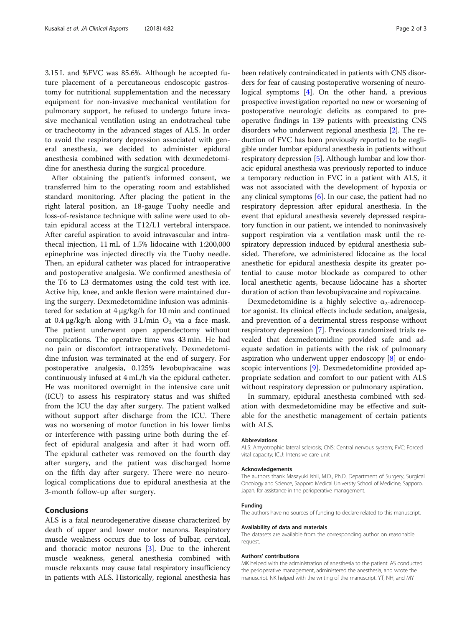3.15 L and %FVC was 85.6%. Although he accepted future placement of a percutaneous endoscopic gastrostomy for nutritional supplementation and the necessary equipment for non-invasive mechanical ventilation for pulmonary support, he refused to undergo future invasive mechanical ventilation using an endotracheal tube or tracheotomy in the advanced stages of ALS. In order to avoid the respiratory depression associated with general anesthesia, we decided to administer epidural anesthesia combined with sedation with dexmedetomidine for anesthesia during the surgical procedure.

After obtaining the patient's informed consent, we transferred him to the operating room and established standard monitoring. After placing the patient in the right lateral position, an 18-gauge Tuohy needle and loss-of-resistance technique with saline were used to obtain epidural access at the T12/L1 vertebral interspace. After careful aspiration to avoid intravascular and intrathecal injection, 11 mL of 1.5% lidocaine with 1:200,000 epinephrine was injected directly via the Tuohy needle. Then, an epidural catheter was placed for intraoperative and postoperative analgesia. We confirmed anesthesia of the T6 to L3 dermatomes using the cold test with ice. Active hip, knee, and ankle flexion were maintained during the surgery. Dexmedetomidine infusion was administered for sedation at 4 μg/kg/h for 10 min and continued at 0.4 μg/kg/h along with  $3 L/min O<sub>2</sub>$  via a face mask. The patient underwent open appendectomy without complications. The operative time was 43 min. He had no pain or discomfort intraoperatively. Dexmedetomidine infusion was terminated at the end of surgery. For postoperative analgesia, 0.125% levobupivacaine was continuously infused at 4 mL/h via the epidural catheter. He was monitored overnight in the intensive care unit (ICU) to assess his respiratory status and was shifted from the ICU the day after surgery. The patient walked without support after discharge from the ICU. There was no worsening of motor function in his lower limbs or interference with passing urine both during the effect of epidural analgesia and after it had worn off. The epidural catheter was removed on the fourth day after surgery, and the patient was discharged home on the fifth day after surgery. There were no neurological complications due to epidural anesthesia at the 3-month follow-up after surgery.

# Conclusions

ALS is a fatal neurodegenerative disease characterized by death of upper and lower motor neurons. Respiratory muscle weakness occurs due to loss of bulbar, cervical, and thoracic motor neurons [[3\]](#page-2-0). Due to the inherent muscle weakness, general anesthesia combined with muscle relaxants may cause fatal respiratory insufficiency in patients with ALS. Historically, regional anesthesia has been relatively contraindicated in patients with CNS disorders for fear of causing postoperative worsening of neurological symptoms [\[4](#page-2-0)]. On the other hand, a previous prospective investigation reported no new or worsening of postoperative neurologic deficits as compared to preoperative findings in 139 patients with preexisting CNS disorders who underwent regional anesthesia [\[2](#page-2-0)]. The reduction of FVC has been previously reported to be negligible under lumbar epidural anesthesia in patients without respiratory depression [\[5\]](#page-2-0). Although lumbar and low thoracic epidural anesthesia was previously reported to induce a temporary reduction in FVC in a patient with ALS, it was not associated with the development of hypoxia or any clinical symptoms [\[6](#page-2-0)]. In our case, the patient had no respiratory depression after epidural anesthesia. In the event that epidural anesthesia severely depressed respiratory function in our patient, we intended to noninvasively support respiration via a ventilation mask until the respiratory depression induced by epidural anesthesia subsided. Therefore, we administered lidocaine as the local anesthetic for epidural anesthesia despite its greater potential to cause motor blockade as compared to other local anesthetic agents, because lidocaine has a shorter duration of action than levobupivacaine and ropivacaine.

Dexmedetomidine is a highly selective  $\alpha_2$ -adrenoceptor agonist. Its clinical effects include sedation, analgesia, and prevention of a detrimental stress response without respiratory depression [\[7](#page-2-0)]. Previous randomized trials revealed that dexmedetomidine provided safe and adequate sedation in patients with the risk of pulmonary aspiration who underwent upper endoscopy [[8\]](#page-2-0) or endoscopic interventions [\[9\]](#page-2-0). Dexmedetomidine provided appropriate sedation and comfort to our patient with ALS without respiratory depression or pulmonary aspiration.

In summary, epidural anesthesia combined with sedation with dexmedetomidine may be effective and suitable for the anesthetic management of certain patients with ALS.

### Abbreviations

ALS: Amyotrophic lateral sclerosis; CNS: Central nervous system; FVC: Forced vital capacity; ICU: Intensive care unit

## Acknowledgements

The authors thank Masayuki Ishii, M.D., Ph.D. Department of Surgery, Surgical Oncology and Science, Sapporo Medical University School of Medicine, Sapporo, Japan, for assistance in the perioperative management.

## Funding

The authors have no sources of funding to declare related to this manuscript.

#### Availability of data and materials

The datasets are available from the corresponding author on reasonable request.

## Authors' contributions

MK helped with the administration of anesthesia to the patient. AS conducted the perioperative management, administered the anesthesia, and wrote the manuscript. NK helped with the writing of the manuscript. YT, NH, and MY